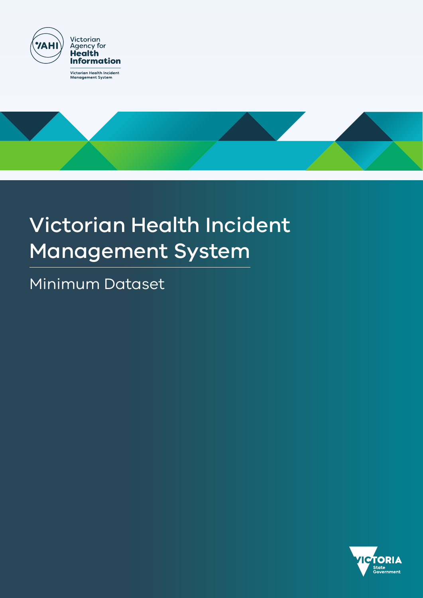



# Victorian Health Incident Management System

Minimum Dataset

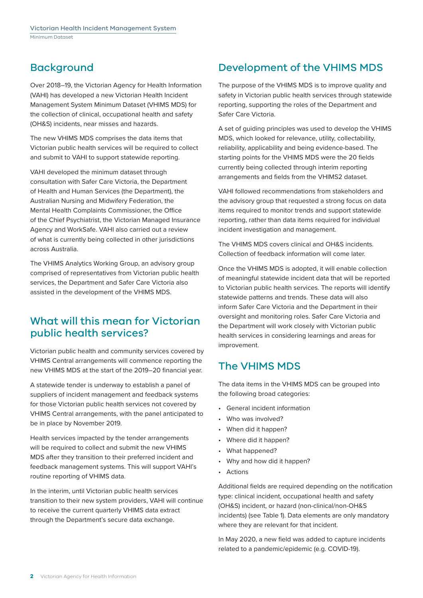## Background

Over 2018–19, the Victorian Agency for Health Information (VAHI) has developed a new Victorian Health Incident Management System Minimum Dataset (VHIMS MDS) for the collection of clinical, occupational health and safety (OH&S) incidents, near misses and hazards.

The new VHIMS MDS comprises the data items that Victorian public health services will be required to collect and submit to VAHI to support statewide reporting.

VAHI developed the minimum dataset through consultation with Safer Care Victoria, the Department of Health and Human Services (the Department), the Australian Nursing and Midwifery Federation, the Mental Health Complaints Commissioner, the Office of the Chief Psychiatrist, the Victorian Managed Insurance Agency and WorkSafe. VAHI also carried out a review of what is currently being collected in other jurisdictions across Australia.

The VHIMS Analytics Working Group, an advisory group comprised of representatives from Victorian public health services, the Department and Safer Care Victoria also assisted in the development of the VHIMS MDS.

## What will this mean for Victorian public health services?

Victorian public health and community services covered by VHIMS Central arrangements will commence reporting the new VHIMS MDS at the start of the 2019–20 financial year.

A statewide tender is underway to establish a panel of suppliers of incident management and feedback systems for those Victorian public health services not covered by VHIMS Central arrangements, with the panel anticipated to be in place by November 2019.

Health services impacted by the tender arrangements will be required to collect and submit the new VHIMS MDS after they transition to their preferred incident and feedback management systems. This will support VAHI's routine reporting of VHIMS data.

In the interim, until Victorian public health services transition to their new system providers, VAHI will continue to receive the current quarterly VHIMS data extract through the Department's secure data exchange.

## Development of the VHIMS MDS

The purpose of the VHIMS MDS is to improve quality and safety in Victorian public health services through statewide reporting, supporting the roles of the Department and Safer Care Victoria.

A set of guiding principles was used to develop the VHIMS MDS, which looked for relevance, utility, collectability, reliability, applicability and being evidence-based. The starting points for the VHIMS MDS were the 20 fields currently being collected through interim reporting arrangements and fields from the VHIMS2 dataset.

VAHI followed recommendations from stakeholders and the advisory group that requested a strong focus on data items required to monitor trends and support statewide reporting, rather than data items required for individual incident investigation and management.

The VHIMS MDS covers clinical and OH&S incidents. Collection of feedback information will come later.

Once the VHIMS MDS is adopted, it will enable collection of meaningful statewide incident data that will be reported to Victorian public health services. The reports will identify statewide patterns and trends. These data will also inform Safer Care Victoria and the Department in their oversight and monitoring roles. Safer Care Victoria and the Department will work closely with Victorian public health services in considering learnings and areas for improvement.

## The VHIMS MDS

The data items in the VHIMS MDS can be grouped into the following broad categories:

- General incident information
- Who was involved?
- When did it happen?
- Where did it happen?
- What happened?
- Why and how did it happen?
- Actions

Additional fields are required depending on the notification type: clinical incident, occupational health and safety (OH&S) incident, or hazard (non-clinical/non-OH&S incidents) (see Table 1). Data elements are only mandatory where they are relevant for that incident.

In May 2020, a new field was added to capture incidents related to a pandemic/epidemic (e.g. COVID-19).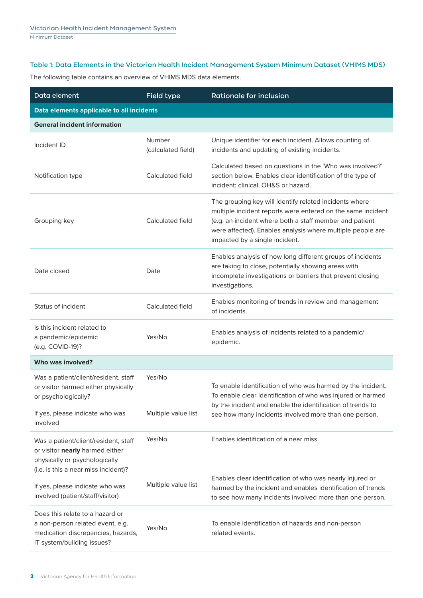#### Table 1: Data Elements in the Victorian Health Incident Management System Minimum Dataset (VHIMS MDS)

The following table contains an overview of VHIMS MDS data elements.

| Data element                                                                                                                                      | Field type                    | <b>Rationale for inclusion</b>                                                                                                                                                                                                                                                   |
|---------------------------------------------------------------------------------------------------------------------------------------------------|-------------------------------|----------------------------------------------------------------------------------------------------------------------------------------------------------------------------------------------------------------------------------------------------------------------------------|
| Data elements applicable to all incidents                                                                                                         |                               |                                                                                                                                                                                                                                                                                  |
| <b>General incident information</b>                                                                                                               |                               |                                                                                                                                                                                                                                                                                  |
| Incident ID                                                                                                                                       | Number<br>(calculated field)  | Unique identifier for each incident. Allows counting of<br>incidents and updating of existing incidents.                                                                                                                                                                         |
| Notification type                                                                                                                                 | Calculated field              | Calculated based on questions in the 'Who was involved?'<br>section below. Enables clear identification of the type of<br>incident: clinical, OH&S or hazard.                                                                                                                    |
| Grouping key                                                                                                                                      | Calculated field              | The grouping key will identify related incidents where<br>multiple incident reports were entered on the same incident<br>(e.g. an incident where both a staff member and patient<br>were affected). Enables analysis where multiple people are<br>impacted by a single incident. |
| Date closed                                                                                                                                       | Date                          | Enables analysis of how long different groups of incidents<br>are taking to close, potentially showing areas with<br>incomplete investigations or barriers that prevent closing<br>investigations.                                                                               |
| Status of incident                                                                                                                                | Calculated field              | Enables monitoring of trends in review and management<br>of incidents.                                                                                                                                                                                                           |
| Is this incident related to<br>a pandemic/epidemic<br>(e.g. COVID-19)?                                                                            | Yes/No                        | Enables analysis of incidents related to a pandemic/<br>epidemic.                                                                                                                                                                                                                |
| Who was involved?                                                                                                                                 |                               |                                                                                                                                                                                                                                                                                  |
| Was a patient/client/resident, staff<br>or visitor harmed either physically<br>or psychologically?<br>If yes, please indicate who was<br>involved | Yes/No<br>Multiple value list | To enable identification of who was harmed by the incident.<br>To enable clear identification of who was injured or harmed<br>by the incident and enable the identification of trends to<br>see how many incidents involved more than one person.                                |
| Was a patient/client/resident, staff<br>or visitor nearly harmed either<br>physically or psychologically<br>(i.e. is this a near miss incident)?  | Yes/No                        | Enables identification of a near miss.                                                                                                                                                                                                                                           |
| If yes, please indicate who was<br>involved (patient/staff/visitor)                                                                               | Multiple value list           | Enables clear identification of who was nearly injured or<br>harmed by the incident and enables identification of trends<br>to see how many incidents involved more than one person.                                                                                             |
| Does this relate to a hazard or<br>a non-person related event, e.g.<br>medication discrepancies, hazards,<br>IT system/building issues?           | Yes/No                        | To enable identification of hazards and non-person<br>related events.                                                                                                                                                                                                            |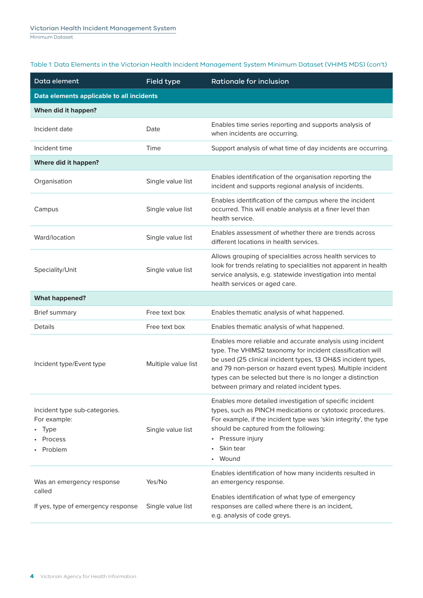| Table 1: Data Elements in the Victorian Health Incident Management System Minimum Dataset (VHIMS MDS) (con't) |  |
|---------------------------------------------------------------------------------------------------------------|--|
|---------------------------------------------------------------------------------------------------------------|--|

| Data element                                                                | Field type          | <b>Rationale for inclusion</b>                                                                                                                                                                                                                                                                                                                                       |
|-----------------------------------------------------------------------------|---------------------|----------------------------------------------------------------------------------------------------------------------------------------------------------------------------------------------------------------------------------------------------------------------------------------------------------------------------------------------------------------------|
| Data elements applicable to all incidents                                   |                     |                                                                                                                                                                                                                                                                                                                                                                      |
| When did it happen?                                                         |                     |                                                                                                                                                                                                                                                                                                                                                                      |
| Incident date                                                               | Date                | Enables time series reporting and supports analysis of<br>when incidents are occurring.                                                                                                                                                                                                                                                                              |
| Incident time                                                               | Time                | Support analysis of what time of day incidents are occurring.                                                                                                                                                                                                                                                                                                        |
| Where did it happen?                                                        |                     |                                                                                                                                                                                                                                                                                                                                                                      |
| Organisation                                                                | Single value list   | Enables identification of the organisation reporting the<br>incident and supports regional analysis of incidents.                                                                                                                                                                                                                                                    |
| Campus                                                                      | Single value list   | Enables identification of the campus where the incident<br>occurred. This will enable analysis at a finer level than<br>health service.                                                                                                                                                                                                                              |
| Ward/location                                                               | Single value list   | Enables assessment of whether there are trends across<br>different locations in health services.                                                                                                                                                                                                                                                                     |
| Speciality/Unit                                                             | Single value list   | Allows grouping of specialities across health services to<br>look for trends relating to specialities not apparent in health<br>service analysis, e.g. statewide investigation into mental<br>health services or aged care.                                                                                                                                          |
| <b>What happened?</b>                                                       |                     |                                                                                                                                                                                                                                                                                                                                                                      |
| <b>Brief summary</b>                                                        | Free text box       | Enables thematic analysis of what happened.                                                                                                                                                                                                                                                                                                                          |
| Details                                                                     | Free text box       | Enables thematic analysis of what happened.                                                                                                                                                                                                                                                                                                                          |
| Incident type/Event type                                                    | Multiple value list | Enables more reliable and accurate analysis using incident<br>type. The VHIMS2 taxonomy for incident classification will<br>be used (25 clinical incident types, 13 OH&S incident types,<br>and 79 non-person or hazard event types). Multiple incident<br>types can be selected but there is no longer a distinction<br>between primary and related incident types. |
| Incident type sub-categories.<br>For example:<br>Type<br>Process<br>Problem | Single value list   | Enables more detailed investigation of specific incident<br>types, such as PINCH medications or cytotoxic procedures.<br>For example, if the incident type was 'skin integrity', the type<br>should be captured from the following:<br>Pressure injury<br>$\bullet$<br>Skin tear<br>$\bullet$<br>Wound                                                               |
| Was an emergency response<br>called                                         | Yes/No              | Enables identification of how many incidents resulted in<br>an emergency response.                                                                                                                                                                                                                                                                                   |
| If yes, type of emergency response                                          | Single value list   | Enables identification of what type of emergency<br>responses are called where there is an incident,<br>e.g. analysis of code greys.                                                                                                                                                                                                                                 |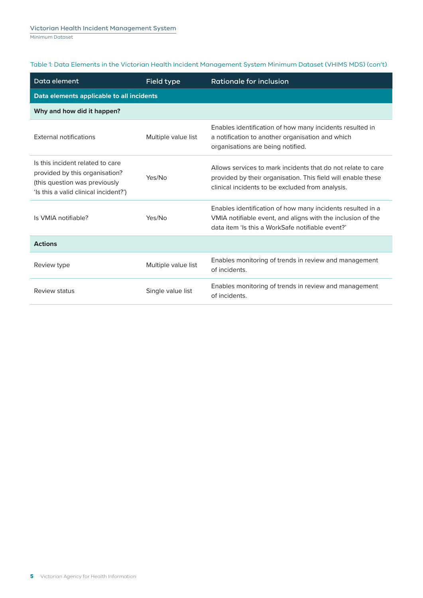#### Table 1: Data Elements in the Victorian Health Incident Management System Minimum Dataset (VHIMS MDS) (con't)

| Data element                                                                                                                                 | Field type          | <b>Rationale for inclusion</b>                                                                                                                                                   |
|----------------------------------------------------------------------------------------------------------------------------------------------|---------------------|----------------------------------------------------------------------------------------------------------------------------------------------------------------------------------|
| Data elements applicable to all incidents                                                                                                    |                     |                                                                                                                                                                                  |
| Why and how did it happen?                                                                                                                   |                     |                                                                                                                                                                                  |
| <b>External notifications</b>                                                                                                                | Multiple value list | Enables identification of how many incidents resulted in<br>a notification to another organisation and which<br>organisations are being notified.                                |
| Is this incident related to care<br>provided by this organisation?<br>(this question was previously<br>'Is this a valid clinical incident?') | Yes/No              | Allows services to mark incidents that do not relate to care<br>provided by their organisation. This field will enable these<br>clinical incidents to be excluded from analysis. |
| Is VMIA notifiable?                                                                                                                          | Yes/No              | Enables identification of how many incidents resulted in a<br>VMIA notifiable event, and aligns with the inclusion of the<br>data item 'ls this a WorkSafe notifiable event?'    |
| <b>Actions</b>                                                                                                                               |                     |                                                                                                                                                                                  |
| Review type                                                                                                                                  | Multiple value list | Enables monitoring of trends in review and management<br>of incidents.                                                                                                           |
| Review status                                                                                                                                | Single value list   | Enables monitoring of trends in review and management<br>of incidents.                                                                                                           |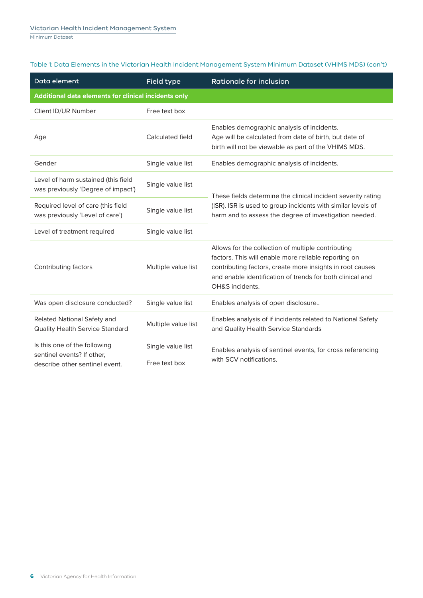| Table 1: Data Elements in the Victorian Health Incident Management System Minimum Dataset (VHIMS MDS) (con't) |  |
|---------------------------------------------------------------------------------------------------------------|--|
|---------------------------------------------------------------------------------------------------------------|--|

| Data element                                                                                 | <b>Field type</b>                  | <b>Rationale for inclusion</b>                                                                                                                                                                                                                          |  |
|----------------------------------------------------------------------------------------------|------------------------------------|---------------------------------------------------------------------------------------------------------------------------------------------------------------------------------------------------------------------------------------------------------|--|
| Additional data elements for clinical incidents only                                         |                                    |                                                                                                                                                                                                                                                         |  |
| Client ID/UR Number                                                                          | Free text box                      |                                                                                                                                                                                                                                                         |  |
| Age                                                                                          | Calculated field                   | Enables demographic analysis of incidents.<br>Age will be calculated from date of birth, but date of<br>birth will not be viewable as part of the VHIMS MDS.                                                                                            |  |
| Gender                                                                                       | Single value list                  | Enables demographic analysis of incidents.                                                                                                                                                                                                              |  |
| Level of harm sustained (this field<br>was previously 'Degree of impact')                    | Single value list                  | These fields determine the clinical incident severity rating                                                                                                                                                                                            |  |
| Required level of care (this field<br>was previously 'Level of care')                        | Single value list                  | (ISR). ISR is used to group incidents with similar levels of<br>harm and to assess the degree of investigation needed.                                                                                                                                  |  |
| Level of treatment required                                                                  | Single value list                  |                                                                                                                                                                                                                                                         |  |
| Contributing factors                                                                         | Multiple value list                | Allows for the collection of multiple contributing<br>factors. This will enable more reliable reporting on<br>contributing factors, create more insights in root causes<br>and enable identification of trends for both clinical and<br>OH&S incidents. |  |
| Was open disclosure conducted?                                                               | Single value list                  | Enables analysis of open disclosure                                                                                                                                                                                                                     |  |
| Related National Safety and<br><b>Quality Health Service Standard</b>                        | Multiple value list                | Enables analysis of if incidents related to National Safety<br>and Quality Health Service Standards                                                                                                                                                     |  |
| Is this one of the following<br>sentinel events? If other,<br>describe other sentinel event. | Single value list<br>Free text box | Enables analysis of sentinel events, for cross referencing<br>with SCV notifications.                                                                                                                                                                   |  |